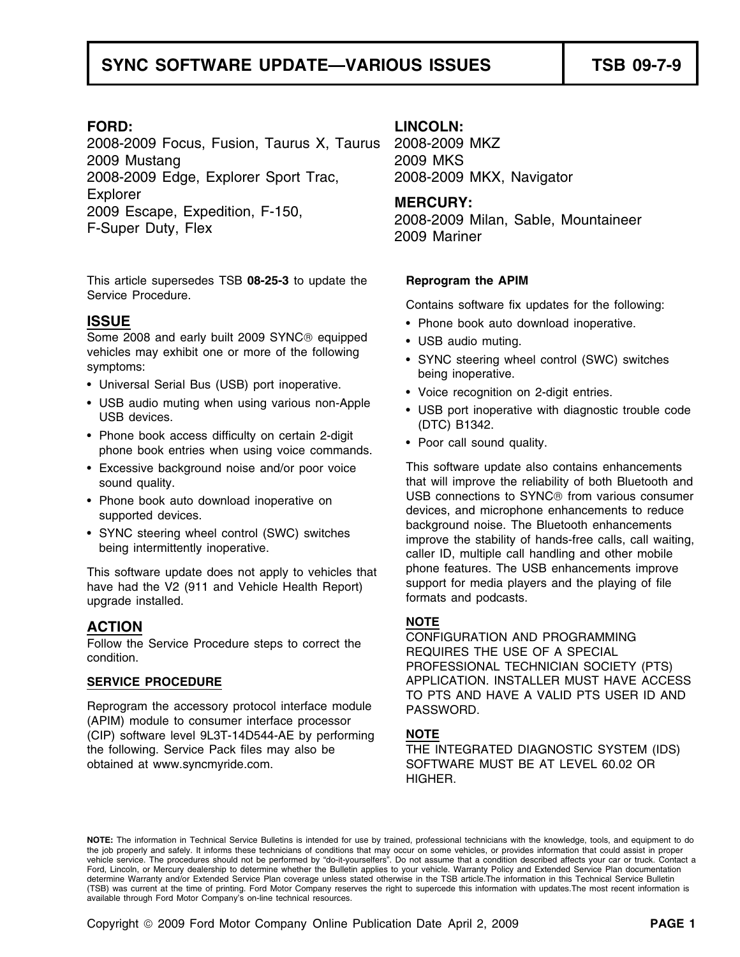# SYNC SOFTWARE UPDATE—VARIOUS ISSUES **The SYNC SOFTWARE**

2008-2009 Focus, Fusion, Taurus X, Taurus 2008-2009 MKZ 2009 Mustang 2009 MKS 2008-2009 Edge, Explorer Sport Trac, 2008-2009 MKX, Navigator Explorer<br>
2009 Escape, Expedition, F-150, **MERCURY:**<br>
2008-2009 Milan, Sable, Mountaineer<br>
2009 Mariner

This article supersedes TSB **08-25-3** to update the **Reprogram the APIM**  Service Procedure.

## **ISSUE** •

Some 2008 and early built 2009 SYNC<sup>®</sup> equipped • USB audio muting. vehicles may exhibit one or more of the following symptoms:

- Universal Serial Bus (USB) port inoperative.
- USB audio muting when using various non-Apple
- Phone book access difficulty on certain 2-digit phone book access difficulty on certain z-digit<br>phone book entries when using voice commands.
- 
- 
- 

have had the V2 (911 and Vehicle Health Report) support for media play<br>upgrade installed. upgrade installed.

Reprogram the accessory protocol interface module PASSWORD. (APIM) module to consumer interface processor (CIP) software level 9L3T-14D544-AE by performing **NOTE** the following. Service Pack files may also be THE INTEGRATED DIAGNOSTIC SYSTEM (IDS) obtained at www.syncmyride.com. <br>SOFTWARE MUST BE AT LEVEL 60.02 OR

### **FORD: LINCOLN:**

Contains software fix updates for the following:

- Phone book auto download inoperative.
- 
- SYNC steering wheel control (SWC) switches<br>being inoperative.
- Voice recognition on 2-digit entries.
- USB dualo multing when using various non-apple<br>USB devices.<br>(DTC) B1342.
	-

• Excessive background noise and/or poor voice This software update also contains enhancements sound quality. that will improve the reliability of both Bluetooth and • Phone book auto download inoperative on **USB** connections to SYNC<sup>®</sup> from various consumer Phone book auto download inoperative on devices, and microphone enhancements to reduce supported devices.<br>
• SYNC steering wheel control (SWC) switches improve the atability of banda free calls sell weiter SYNC steering wheel control (SWC) switches improve the stability of hands-free calls, call waiting,<br>being intermittently inoperative.<br>caller ID, multiple call handling and other mobile This software update does not apply to vehicles that phone features. The USB enhancements improve<br>have had the V2 (911 and Vehicle Health Benort) support for media players and the playing of file

**NOTE ACTION** Follow the Service Procedure steps to correct the REQUIRES THE USE OF A SPECIAL condition.<br>
PROFESSIONAL TECHNICIAN SOCIETY (PTS) SERVICE PROCEDURE **APPLICATION. INSTALLER MUST HAVE ACCESS** TO PTS AND HAVE A VALID PTS USER ID AND

HIGHER.

**NOTE:** The information in Technical Service Bulletins is intended for use by trained, professional technicians with the knowledge, tools, and equipment to do the job properly and safely. It informs these technicians of conditions that may occur on some vehicles, or provides information that could assist in proper<br>vehicle service. The procedures should not be performed by "do-it Ford, Lincoln, or Mercury dealership to determine whether the Bulletin applies to your vehicle. Warranty Policy and Extended Service Plan documentation determine Warranty and/or Extended Service Plan coverage unless stated otherwise in the TSB article.The information in this Technical Service Bulletin (TSB) was current at the time of printing. Ford Motor Company reserves the right to supercede this information with updates.The most recent information is available through Ford Motor Company's on-line technical resources.